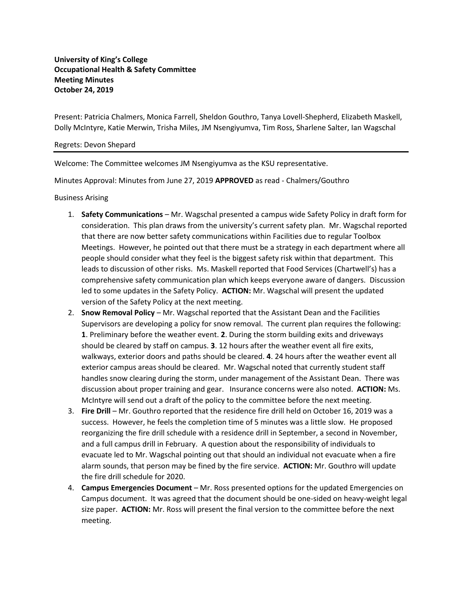**University of King's College Occupational Health & Safety Committee Meeting Minutes October 24, 2019**

Present: Patricia Chalmers, Monica Farrell, Sheldon Gouthro, Tanya Lovell-Shepherd, Elizabeth Maskell, Dolly McIntyre, Katie Merwin, Trisha Miles, JM Nsengiyumva, Tim Ross, Sharlene Salter, Ian Wagschal

## Regrets: Devon Shepard

Welcome: The Committee welcomes JM Nsengiyumva as the KSU representative.

Minutes Approval: Minutes from June 27, 2019 **APPROVED** as read - Chalmers/Gouthro

Business Arising

- 1. **Safety Communications** Mr. Wagschal presented a campus wide Safety Policy in draft form for consideration. This plan draws from the university's current safety plan. Mr. Wagschal reported that there are now better safety communications within Facilities due to regular Toolbox Meetings. However, he pointed out that there must be a strategy in each department where all people should consider what they feel is the biggest safety risk within that department. This leads to discussion of other risks. Ms. Maskell reported that Food Services (Chartwell's) has a comprehensive safety communication plan which keeps everyone aware of dangers. Discussion led to some updates in the Safety Policy. **ACTION:** Mr. Wagschal will present the updated version of the Safety Policy at the next meeting.
- 2. **Snow Removal Policy** Mr. Wagschal reported that the Assistant Dean and the Facilities Supervisors are developing a policy for snow removal. The current plan requires the following: **1**. Preliminary before the weather event. **2**. During the storm building exits and driveways should be cleared by staff on campus. **3**. 12 hours after the weather event all fire exits, walkways, exterior doors and paths should be cleared. **4**. 24 hours after the weather event all exterior campus areas should be cleared. Mr. Wagschal noted that currently student staff handles snow clearing during the storm, under management of the Assistant Dean. There was discussion about proper training and gear. Insurance concerns were also noted. **ACTION:** Ms. McIntyre will send out a draft of the policy to the committee before the next meeting.
- 3. **Fire Drill** Mr. Gouthro reported that the residence fire drill held on October 16, 2019 was a success. However, he feels the completion time of 5 minutes was a little slow. He proposed reorganizing the fire drill schedule with a residence drill in September, a second in November, and a full campus drill in February. A question about the responsibility of individuals to evacuate led to Mr. Wagschal pointing out that should an individual not evacuate when a fire alarm sounds, that person may be fined by the fire service. **ACTION:** Mr. Gouthro will update the fire drill schedule for 2020.
- 4. **Campus Emergencies Document** Mr. Ross presented options for the updated Emergencies on Campus document. It was agreed that the document should be one-sided on heavy-weight legal size paper. **ACTION:** Mr. Ross will present the final version to the committee before the next meeting.